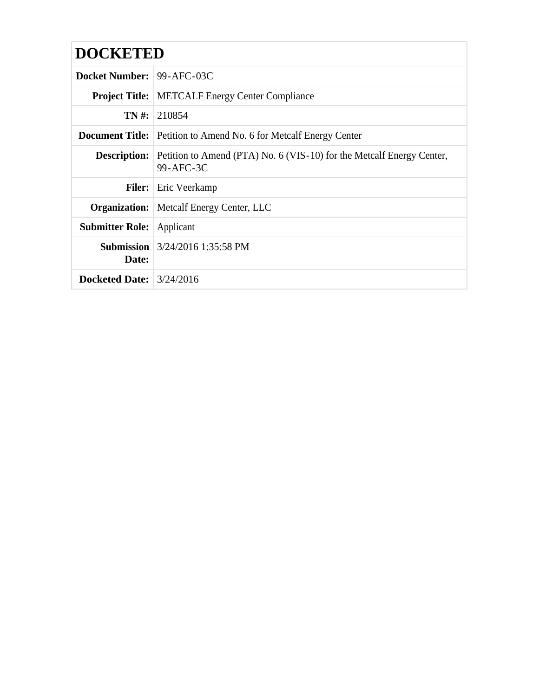## **DOCKETED**

| <b>Docket Number: 99-AFC-03C</b> |                                                                                                        |
|----------------------------------|--------------------------------------------------------------------------------------------------------|
|                                  | <b>Project Title:</b> METCALF Energy Center Compliance                                                 |
|                                  | <b>TN</b> #: 210854                                                                                    |
|                                  | <b>Document Title:</b> Petition to Amend No. 6 for Metcalf Energy Center                               |
|                                  | <b>Description:</b> Petition to Amend (PTA) No. 6 (VIS-10) for the Metcalf Energy Center,<br>99-AFC-3C |
|                                  | <b>Filer:</b> Eric Veerkamp                                                                            |
|                                  | <b>Organization:</b> Metcalf Energy Center, LLC                                                        |
| <b>Submitter Role:</b>           | Applicant                                                                                              |
| Date:                            | <b>Submission</b> $3/24/2016$ 1:35:58 PM                                                               |
| Docketed Date: $3/24/2016$       |                                                                                                        |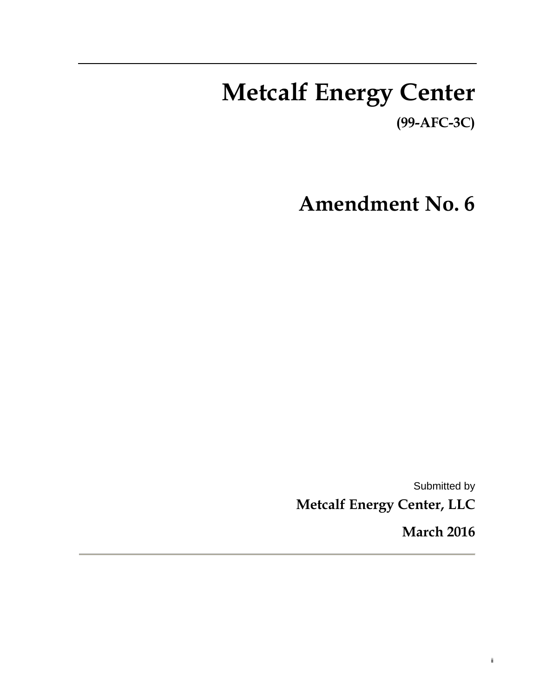## **Metcalf Energy Center (99-AFC-3C)**

**Amendment No. 6** 

Submitted by **Metcalf Energy Center, LLC** 

**March 2016** 

ii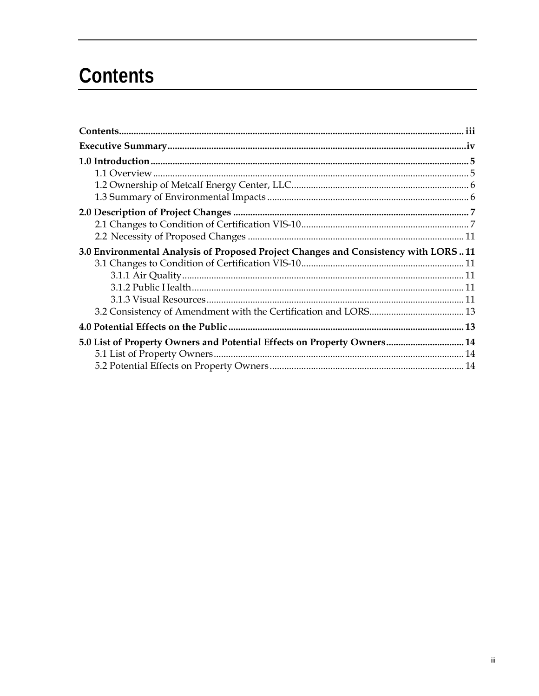## Contents

| 3.0 Environmental Analysis of Proposed Project Changes and Consistency with LORS11 |  |
|------------------------------------------------------------------------------------|--|
|                                                                                    |  |
|                                                                                    |  |
|                                                                                    |  |
|                                                                                    |  |
|                                                                                    |  |
|                                                                                    |  |
| 5.0 List of Property Owners and Potential Effects on Property Owners 14            |  |
|                                                                                    |  |
|                                                                                    |  |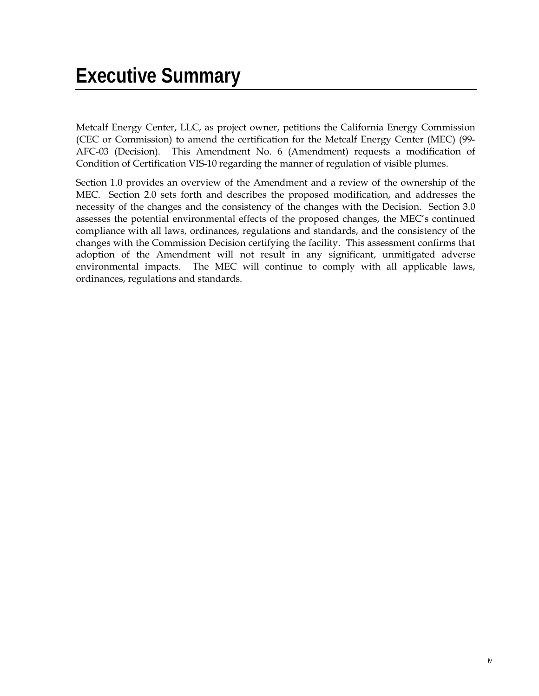Metcalf Energy Center, LLC, as project owner, petitions the California Energy Commission (CEC or Commission) to amend the certification for the Metcalf Energy Center (MEC) (99- AFC-03 (Decision). This Amendment No. 6 (Amendment) requests a modification of Condition of Certification VIS-10 regarding the manner of regulation of visible plumes.

Section 1.0 provides an overview of the Amendment and a review of the ownership of the MEC. Section 2.0 sets forth and describes the proposed modification, and addresses the necessity of the changes and the consistency of the changes with the Decision. Section 3.0 assesses the potential environmental effects of the proposed changes, the MEC's continued compliance with all laws, ordinances, regulations and standards, and the consistency of the changes with the Commission Decision certifying the facility. This assessment confirms that adoption of the Amendment will not result in any significant, unmitigated adverse environmental impacts. The MEC will continue to comply with all applicable laws, ordinances, regulations and standards.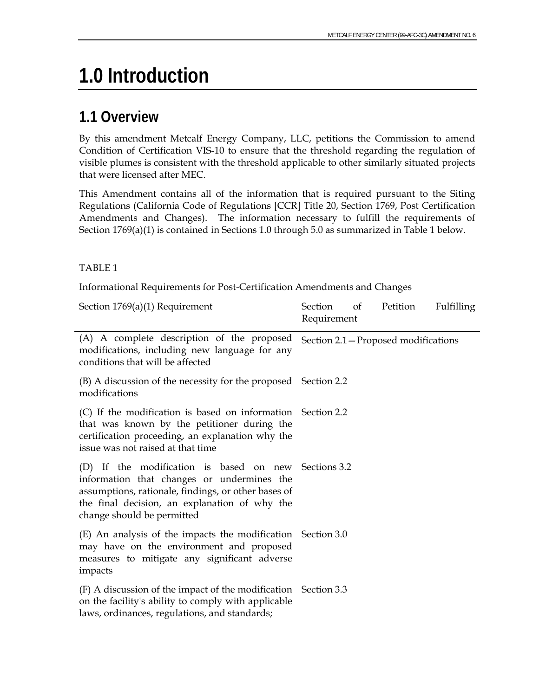## **1.0 Introduction**

### **1.1 Overview**

By this amendment Metcalf Energy Company, LLC, petitions the Commission to amend Condition of Certification VIS-10 to ensure that the threshold regarding the regulation of visible plumes is consistent with the threshold applicable to other similarly situated projects that were licensed after MEC.

This Amendment contains all of the information that is required pursuant to the Siting Regulations (California Code of Regulations [CCR] Title 20, Section 1769, Post Certification Amendments and Changes). The information necessary to fulfill the requirements of Section 1769(a)(1) is contained in Sections 1.0 through 5.0 as summarized in Table 1 below.

#### TABLE 1

Informational Requirements for Post-Certification Amendments and Changes

| Section $1769(a)(1)$ Requirement                                                                                                                                                                                                         | Section<br>Petition<br>Fulfilling<br>of<br>Requirement |
|------------------------------------------------------------------------------------------------------------------------------------------------------------------------------------------------------------------------------------------|--------------------------------------------------------|
| (A) A complete description of the proposed<br>modifications, including new language for any<br>conditions that will be affected                                                                                                          | Section 2.1 - Proposed modifications                   |
| (B) A discussion of the necessity for the proposed Section 2.2<br>modifications                                                                                                                                                          |                                                        |
| (C) If the modification is based on information Section 2.2<br>that was known by the petitioner during the<br>certification proceeding, an explanation why the<br>issue was not raised at that time                                      |                                                        |
| (D) If the modification is based on new Sections 3.2<br>information that changes or undermines the<br>assumptions, rationale, findings, or other bases of<br>the final decision, an explanation of why the<br>change should be permitted |                                                        |
| (E) An analysis of the impacts the modification Section 3.0<br>may have on the environment and proposed<br>measures to mitigate any significant adverse<br>impacts                                                                       |                                                        |
| (F) A discussion of the impact of the modification Section 3.3<br>on the facility's ability to comply with applicable<br>laws, ordinances, regulations, and standards;                                                                   |                                                        |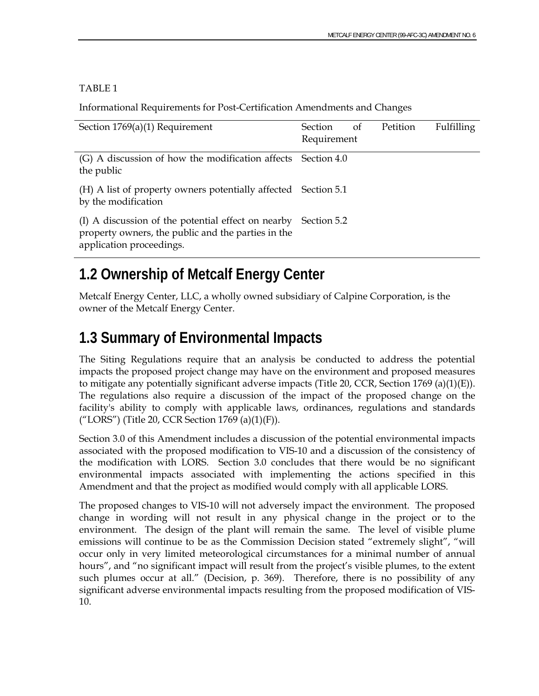#### TABLE 1

Informational Requirements for Post-Certification Amendments and Changes

| Section $1769(a)(1)$ Requirement                                                                                                                 | Section     | of | <b>Petition</b> | <b>Fulfilling</b> |
|--------------------------------------------------------------------------------------------------------------------------------------------------|-------------|----|-----------------|-------------------|
|                                                                                                                                                  | Requirement |    |                 |                   |
| (G) A discussion of how the modification affects Section 4.0<br>the public                                                                       |             |    |                 |                   |
| (H) A list of property owners potentially affected Section 5.1<br>by the modification                                                            |             |    |                 |                   |
| (I) A discussion of the potential effect on nearby Section 5.2<br>property owners, the public and the parties in the<br>application proceedings. |             |    |                 |                   |

### **1.2 Ownership of Metcalf Energy Center**

Metcalf Energy Center, LLC, a wholly owned subsidiary of Calpine Corporation, is the owner of the Metcalf Energy Center.

### **1.3 Summary of Environmental Impacts**

The Siting Regulations require that an analysis be conducted to address the potential impacts the proposed project change may have on the environment and proposed measures to mitigate any potentially significant adverse impacts (Title 20, CCR, Section 1769 (a)(1)(E)). The regulations also require a discussion of the impact of the proposed change on the facility's ability to comply with applicable laws, ordinances, regulations and standards ("LORS") (Title 20, CCR Section 1769 (a)(1)(F)).

Section 3.0 of this Amendment includes a discussion of the potential environmental impacts associated with the proposed modification to VIS-10 and a discussion of the consistency of the modification with LORS. Section 3.0 concludes that there would be no significant environmental impacts associated with implementing the actions specified in this Amendment and that the project as modified would comply with all applicable LORS.

The proposed changes to VIS-10 will not adversely impact the environment. The proposed change in wording will not result in any physical change in the project or to the environment. The design of the plant will remain the same. The level of visible plume emissions will continue to be as the Commission Decision stated "extremely slight", "will occur only in very limited meteorological circumstances for a minimal number of annual hours", and "no significant impact will result from the project's visible plumes, to the extent such plumes occur at all." (Decision, p. 369). Therefore, there is no possibility of any significant adverse environmental impacts resulting from the proposed modification of VIS-10.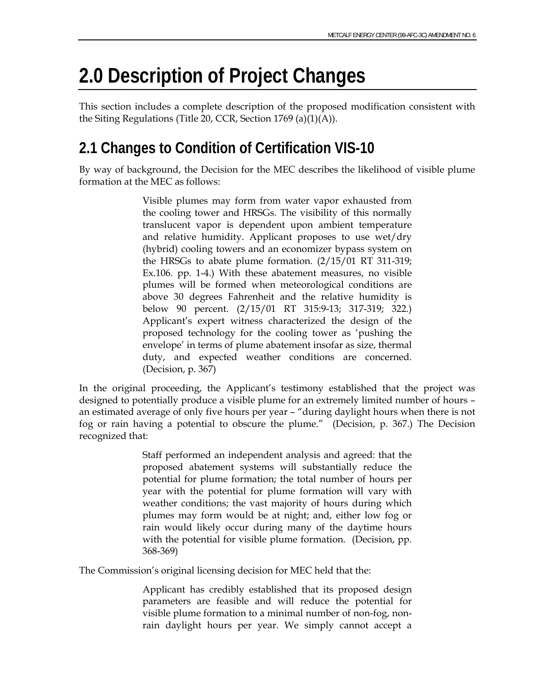## **2.0 Description of Project Changes**

This section includes a complete description of the proposed modification consistent with the Siting Regulations (Title 20, CCR, Section 1769 (a)(1)(A)).

### **2.1 Changes to Condition of Certification VIS-10**

By way of background, the Decision for the MEC describes the likelihood of visible plume formation at the MEC as follows:

> Visible plumes may form from water vapor exhausted from the cooling tower and HRSGs. The visibility of this normally translucent vapor is dependent upon ambient temperature and relative humidity. Applicant proposes to use wet/dry (hybrid) cooling towers and an economizer bypass system on the HRSGs to abate plume formation. (2/15/01 RT 311-319; Ex.106. pp. 1-4.) With these abatement measures, no visible plumes will be formed when meteorological conditions are above 30 degrees Fahrenheit and the relative humidity is below 90 percent. (2/15/01 RT 315:9-13; 317-319; 322.) Applicant's expert witness characterized the design of the proposed technology for the cooling tower as 'pushing the envelope' in terms of plume abatement insofar as size, thermal duty, and expected weather conditions are concerned. (Decision, p. 367)

In the original proceeding, the Applicant's testimony established that the project was designed to potentially produce a visible plume for an extremely limited number of hours – an estimated average of only five hours per year – "during daylight hours when there is not fog or rain having a potential to obscure the plume." (Decision, p. 367.) The Decision recognized that:

> Staff performed an independent analysis and agreed: that the proposed abatement systems will substantially reduce the potential for plume formation; the total number of hours per year with the potential for plume formation will vary with weather conditions; the vast majority of hours during which plumes may form would be at night; and, either low fog or rain would likely occur during many of the daytime hours with the potential for visible plume formation. (Decision, pp. 368-369)

The Commission's original licensing decision for MEC held that the:

Applicant has credibly established that its proposed design parameters are feasible and will reduce the potential for visible plume formation to a minimal number of non-fog, nonrain daylight hours per year. We simply cannot accept a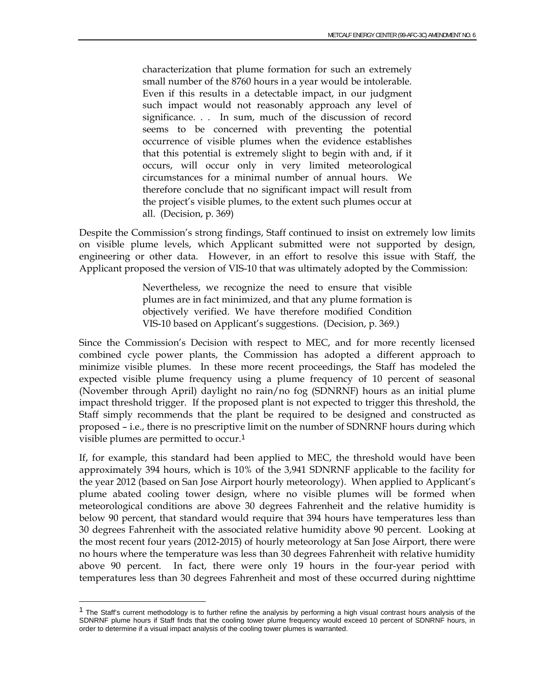characterization that plume formation for such an extremely small number of the 8760 hours in a year would be intolerable. Even if this results in a detectable impact, in our judgment such impact would not reasonably approach any level of significance. . . In sum, much of the discussion of record seems to be concerned with preventing the potential occurrence of visible plumes when the evidence establishes that this potential is extremely slight to begin with and, if it occurs, will occur only in very limited meteorological circumstances for a minimal number of annual hours. We therefore conclude that no significant impact will result from the project's visible plumes, to the extent such plumes occur at all. (Decision, p. 369)

Despite the Commission's strong findings, Staff continued to insist on extremely low limits on visible plume levels, which Applicant submitted were not supported by design, engineering or other data. However, in an effort to resolve this issue with Staff, the Applicant proposed the version of VIS-10 that was ultimately adopted by the Commission:

> Nevertheless, we recognize the need to ensure that visible plumes are in fact minimized, and that any plume formation is objectively verified. We have therefore modified Condition VIS-10 based on Applicant's suggestions. (Decision, p. 369.)

Since the Commission's Decision with respect to MEC, and for more recently licensed combined cycle power plants, the Commission has adopted a different approach to minimize visible plumes. In these more recent proceedings, the Staff has modeled the expected visible plume frequency using a plume frequency of 10 percent of seasonal (November through April) daylight no rain/no fog (SDNRNF) hours as an initial plume impact threshold trigger. If the proposed plant is not expected to trigger this threshold, the Staff simply recommends that the plant be required to be designed and constructed as proposed – i.e., there is no prescriptive limit on the number of SDNRNF hours during which visible plumes are permitted to occur.<sup>1</sup>

If, for example, this standard had been applied to MEC, the threshold would have been approximately 394 hours, which is 10% of the 3,941 SDNRNF applicable to the facility for the year 2012 (based on San Jose Airport hourly meteorology). When applied to Applicant's plume abated cooling tower design, where no visible plumes will be formed when meteorological conditions are above 30 degrees Fahrenheit and the relative humidity is below 90 percent, that standard would require that 394 hours have temperatures less than 30 degrees Fahrenheit with the associated relative humidity above 90 percent. Looking at the most recent four years (2012-2015) of hourly meteorology at San Jose Airport, there were no hours where the temperature was less than 30 degrees Fahrenheit with relative humidity above 90 percent. In fact, there were only 19 hours in the four-year period with temperatures less than 30 degrees Fahrenheit and most of these occurred during nighttime

 $<sup>1</sup>$  The Staff's current methodology is to further refine the analysis by performing a high visual contrast hours analysis of the</sup> SDNRNF plume hours if Staff finds that the cooling tower plume frequency would exceed 10 percent of SDNRNF hours, in order to determine if a visual impact analysis of the cooling tower plumes is warranted.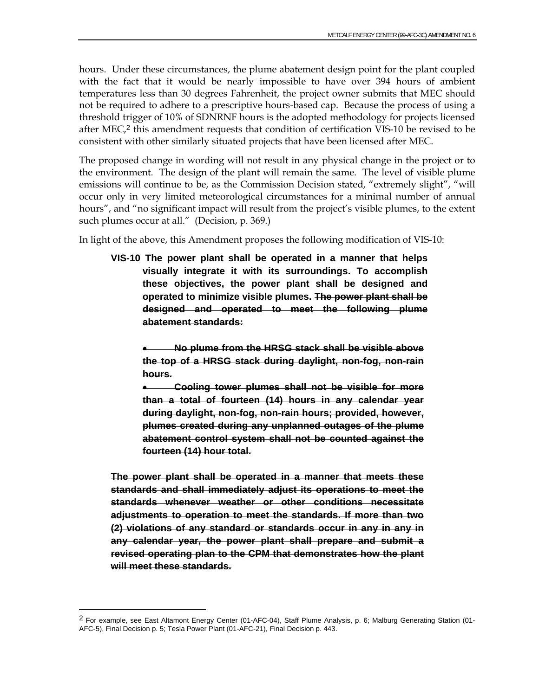hours. Under these circumstances, the plume abatement design point for the plant coupled with the fact that it would be nearly impossible to have over 394 hours of ambient temperatures less than 30 degrees Fahrenheit, the project owner submits that MEC should not be required to adhere to a prescriptive hours-based cap. Because the process of using a threshold trigger of 10% of SDNRNF hours is the adopted methodology for projects licensed after MEC,<sup>2</sup> this amendment requests that condition of certification VIS-10 be revised to be consistent with other similarly situated projects that have been licensed after MEC.

The proposed change in wording will not result in any physical change in the project or to the environment. The design of the plant will remain the same. The level of visible plume emissions will continue to be, as the Commission Decision stated, "extremely slight", "will occur only in very limited meteorological circumstances for a minimal number of annual hours", and "no significant impact will result from the project's visible plumes, to the extent such plumes occur at all." (Decision, p. 369.)

In light of the above, this Amendment proposes the following modification of VIS-10:

**VIS-10 The power plant shall be operated in a manner that helps visually integrate it with its surroundings. To accomplish these objectives, the power plant shall be designed and operated to minimize visible plumes. The power plant shall be designed and operated to meet the following plume abatement standards:** 

 **No plume from the HRSG stack shall be visible above the top of a HRSG stack during daylight, non-fog, non-rain hours.** 

 **Cooling tower plumes shall not be visible for more than a total of fourteen (14) hours in any calendar year during daylight, non-fog, non-rain hours; provided, however, plumes created during any unplanned outages of the plume abatement control system shall not be counted against the fourteen (14) hour total.** 

**The power plant shall be operated in a manner that meets these standards and shall immediately adjust its operations to meet the standards whenever weather or other conditions necessitate adjustments to operation to meet the standards. If more than two (2) violations of any standard or standards occur in any in any in any calendar year, the power plant shall prepare and submit a revised operating plan to the CPM that demonstrates how the plant will meet these standards.** 

 $2$  For example, see East Altamont Energy Center (01-AFC-04), Staff Plume Analysis, p. 6; Malburg Generating Station (01-AFC-5), Final Decision p. 5; Tesla Power Plant (01-AFC-21), Final Decision p. 443.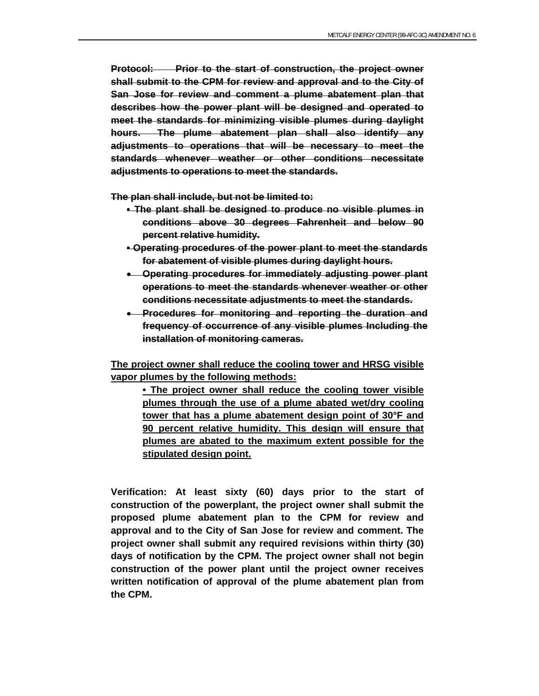**Protocol: Prior to the start of construction, the project owner shall submit to the CPM for review and approval and to the City of San Jose for review and comment a plume abatement plan that describes how the power plant will be designed and operated to meet the standards for minimizing visible plumes during daylight hours. The plume abatement plan shall also identify any adjustments to operations that will be necessary to meet the standards whenever weather or other conditions necessitate adjustments to operations to meet the standards.** 

**The plan shall include, but not be limited to:** 

- **The plant shall be designed to produce no visible plumes in conditions above 30 degrees Fahrenheit and below 90 percent relative humidity.**
- **Operating procedures of the power plant to meet the standards for abatement of visible plumes during daylight hours.**
- **Operating procedures for immediately adjusting power plant operations to meet the standards whenever weather or other conditions necessitate adjustments to meet the standards.**
- **Procedures for monitoring and reporting the duration and frequency of occurrence of any visible plumes Including the installation of monitoring cameras.**

**The project owner shall reduce the cooling tower and HRSG visible vapor plumes by the following methods:** 

 **• The project owner shall reduce the cooling tower visible plumes through the use of a plume abated wet/dry cooling tower that has a plume abatement design point of 30°F and 90 percent relative humidity. This design will ensure that plumes are abated to the maximum extent possible for the stipulated design point.** 

**Verification: At least sixty (60) days prior to the start of construction of the powerplant, the project owner shall submit the proposed plume abatement plan to the CPM for review and approval and to the City of San Jose for review and comment. The project owner shall submit any required revisions within thirty (30) days of notification by the CPM. The project owner shall not begin construction of the power plant until the project owner receives written notification of approval of the plume abatement plan from the CPM.**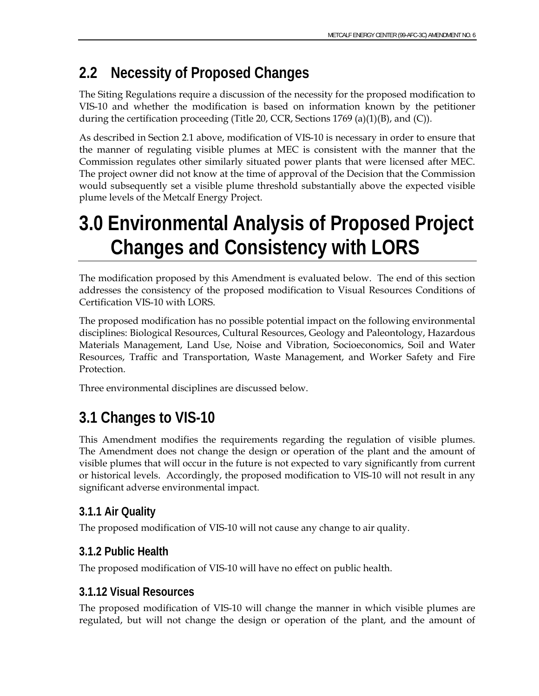## **2.2 Necessity of Proposed Changes**

The Siting Regulations require a discussion of the necessity for the proposed modification to VIS-10 and whether the modification is based on information known by the petitioner during the certification proceeding (Title 20, CCR, Sections 1769 (a)(1)(B), and (C)).

As described in Section 2.1 above, modification of VIS-10 is necessary in order to ensure that the manner of regulating visible plumes at MEC is consistent with the manner that the Commission regulates other similarly situated power plants that were licensed after MEC. The project owner did not know at the time of approval of the Decision that the Commission would subsequently set a visible plume threshold substantially above the expected visible plume levels of the Metcalf Energy Project.

## **3.0 Environmental Analysis of Proposed Project Changes and Consistency with LORS**

The modification proposed by this Amendment is evaluated below. The end of this section addresses the consistency of the proposed modification to Visual Resources Conditions of Certification VIS-10 with LORS.

The proposed modification has no possible potential impact on the following environmental disciplines: Biological Resources, Cultural Resources, Geology and Paleontology, Hazardous Materials Management, Land Use, Noise and Vibration, Socioeconomics, Soil and Water Resources, Traffic and Transportation, Waste Management, and Worker Safety and Fire Protection.

Three environmental disciplines are discussed below.

## **3.1 Changes to VIS-10**

This Amendment modifies the requirements regarding the regulation of visible plumes. The Amendment does not change the design or operation of the plant and the amount of visible plumes that will occur in the future is not expected to vary significantly from current or historical levels. Accordingly, the proposed modification to VIS-10 will not result in any significant adverse environmental impact.

#### **3.1.1 Air Quality**

The proposed modification of VIS-10 will not cause any change to air quality.

#### **3.1.2 Public Health**

The proposed modification of VIS-10 will have no effect on public health.

#### **3.1.12 Visual Resources**

The proposed modification of VIS-10 will change the manner in which visible plumes are regulated, but will not change the design or operation of the plant, and the amount of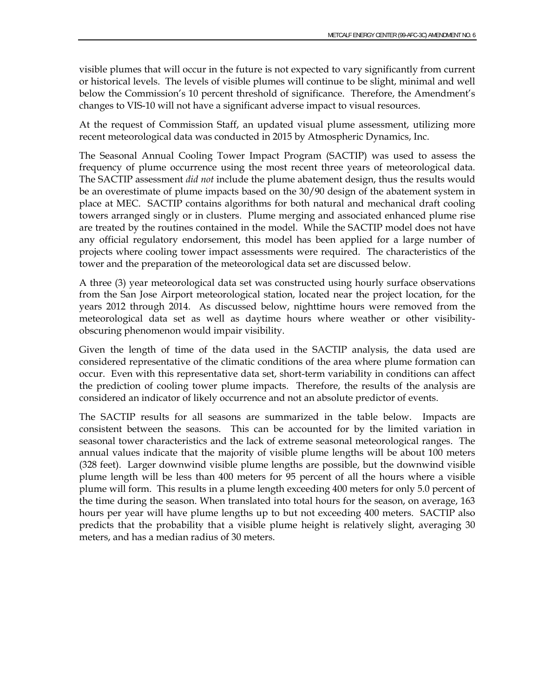visible plumes that will occur in the future is not expected to vary significantly from current or historical levels. The levels of visible plumes will continue to be slight, minimal and well below the Commission's 10 percent threshold of significance. Therefore, the Amendment's changes to VIS-10 will not have a significant adverse impact to visual resources.

At the request of Commission Staff, an updated visual plume assessment, utilizing more recent meteorological data was conducted in 2015 by Atmospheric Dynamics, Inc.

The Seasonal Annual Cooling Tower Impact Program (SACTIP) was used to assess the frequency of plume occurrence using the most recent three years of meteorological data. The SACTIP assessment *did not* include the plume abatement design, thus the results would be an overestimate of plume impacts based on the 30/90 design of the abatement system in place at MEC. SACTIP contains algorithms for both natural and mechanical draft cooling towers arranged singly or in clusters. Plume merging and associated enhanced plume rise are treated by the routines contained in the model. While the SACTIP model does not have any official regulatory endorsement, this model has been applied for a large number of projects where cooling tower impact assessments were required. The characteristics of the tower and the preparation of the meteorological data set are discussed below.

A three (3) year meteorological data set was constructed using hourly surface observations from the San Jose Airport meteorological station, located near the project location, for the years 2012 through 2014. As discussed below, nighttime hours were removed from the meteorological data set as well as daytime hours where weather or other visibilityobscuring phenomenon would impair visibility.

Given the length of time of the data used in the SACTIP analysis, the data used are considered representative of the climatic conditions of the area where plume formation can occur. Even with this representative data set, short-term variability in conditions can affect the prediction of cooling tower plume impacts. Therefore, the results of the analysis are considered an indicator of likely occurrence and not an absolute predictor of events.

The SACTIP results for all seasons are summarized in the table below. Impacts are consistent between the seasons. This can be accounted for by the limited variation in seasonal tower characteristics and the lack of extreme seasonal meteorological ranges. The annual values indicate that the majority of visible plume lengths will be about 100 meters (328 feet). Larger downwind visible plume lengths are possible, but the downwind visible plume length will be less than 400 meters for 95 percent of all the hours where a visible plume will form. This results in a plume length exceeding 400 meters for only 5.0 percent of the time during the season. When translated into total hours for the season, on average, 163 hours per year will have plume lengths up to but not exceeding 400 meters. SACTIP also predicts that the probability that a visible plume height is relatively slight, averaging 30 meters, and has a median radius of 30 meters.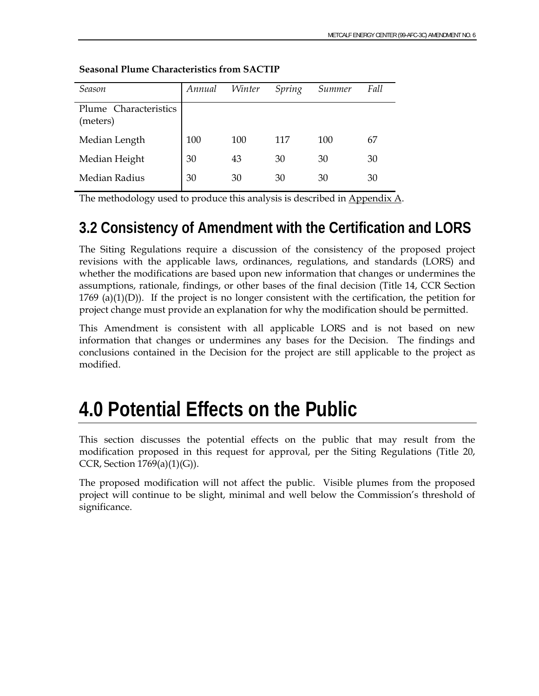| Season                            | Annual | Winter | Spring | Summer | Fall |
|-----------------------------------|--------|--------|--------|--------|------|
| Plume Characteristics<br>(meters) |        |        |        |        |      |
| Median Length                     | 100    | 100    | 117    | 100    | 67   |
| Median Height                     | 30     | 43     | 30     | 30     | 30   |
| Median Radius                     | 30     | 30     | 30     | 30     | 30   |

#### **Seasonal Plume Characteristics from SACTIP**

The methodology used to produce this analysis is described in Appendix A.

### **3.2 Consistency of Amendment with the Certification and LORS**

The Siting Regulations require a discussion of the consistency of the proposed project revisions with the applicable laws, ordinances, regulations, and standards (LORS) and whether the modifications are based upon new information that changes or undermines the assumptions, rationale, findings, or other bases of the final decision (Title 14, CCR Section  $1769$  (a)(1)(D)). If the project is no longer consistent with the certification, the petition for project change must provide an explanation for why the modification should be permitted.

This Amendment is consistent with all applicable LORS and is not based on new information that changes or undermines any bases for the Decision. The findings and conclusions contained in the Decision for the project are still applicable to the project as modified.

## **4.0 Potential Effects on the Public**

This section discusses the potential effects on the public that may result from the modification proposed in this request for approval, per the Siting Regulations (Title 20, CCR, Section  $1769(a)(1)(G)$ ).

The proposed modification will not affect the public. Visible plumes from the proposed project will continue to be slight, minimal and well below the Commission's threshold of significance.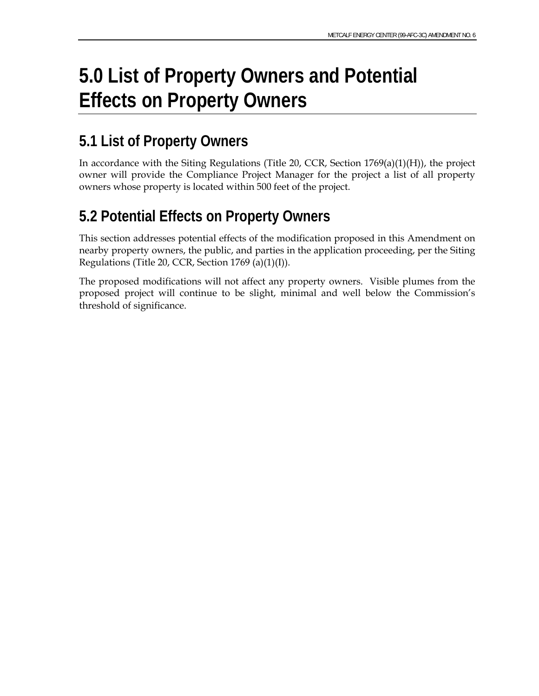## **5.0 List of Property Owners and Potential Effects on Property Owners**

### **5.1 List of Property Owners**

In accordance with the Siting Regulations (Title 20, CCR, Section 1769(a)(1)(H)), the project owner will provide the Compliance Project Manager for the project a list of all property owners whose property is located within 500 feet of the project.

### **5.2 Potential Effects on Property Owners**

This section addresses potential effects of the modification proposed in this Amendment on nearby property owners, the public, and parties in the application proceeding, per the Siting Regulations (Title 20, CCR, Section 1769 (a)(1)(I)).

The proposed modifications will not affect any property owners. Visible plumes from the proposed project will continue to be slight, minimal and well below the Commission's threshold of significance.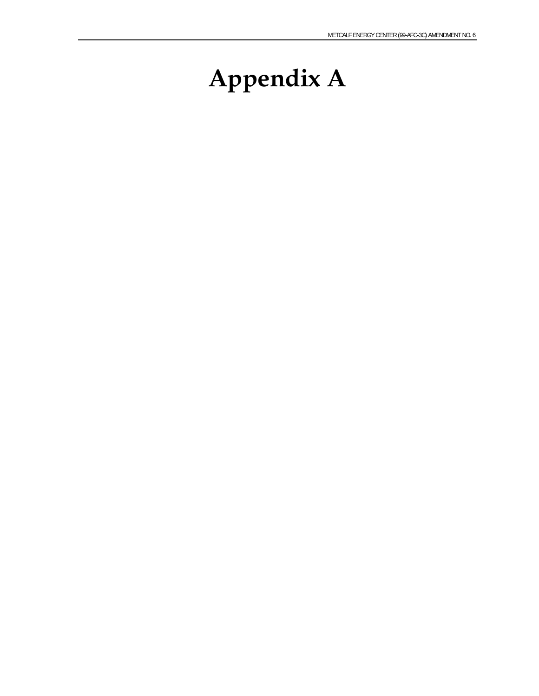# **Appendix A**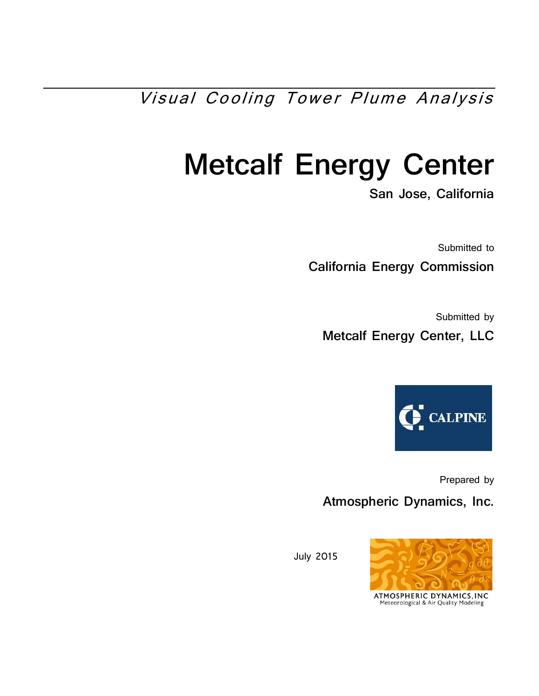Visual Cooling Tower Plume Analysis

# **Metcalf Energy Center**

**San Jose, California** 

Submitted to **California Energy Commission** 

Submitted by

**Metcalf Energy Center, LLC** 



Prepared by

**Atmospheric Dynamics, Inc.** 

July 2015



ATMOSPHERIC DYNAMICS, INC Meteorological & Air Quality Modeling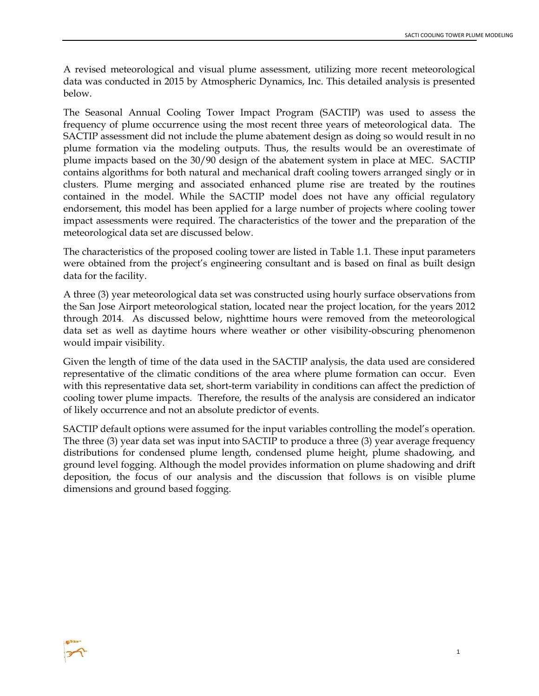A revised meteorological and visual plume assessment, utilizing more recent meteorological data was conducted in 2015 by Atmospheric Dynamics, Inc. This detailed analysis is presented below.

The Seasonal Annual Cooling Tower Impact Program (SACTIP) was used to assess the frequency of plume occurrence using the most recent three years of meteorological data. The SACTIP assessment did not include the plume abatement design as doing so would result in no plume formation via the modeling outputs. Thus, the results would be an overestimate of plume impacts based on the 30/90 design of the abatement system in place at MEC. SACTIP contains algorithms for both natural and mechanical draft cooling towers arranged singly or in clusters. Plume merging and associated enhanced plume rise are treated by the routines contained in the model. While the SACTIP model does not have any official regulatory endorsement, this model has been applied for a large number of projects where cooling tower impact assessments were required. The characteristics of the tower and the preparation of the meteorological data set are discussed below.

The characteristics of the proposed cooling tower are listed in Table 1.1. These input parameters were obtained from the project's engineering consultant and is based on final as built design data for the facility.

A three (3) year meteorological data set was constructed using hourly surface observations from the San Jose Airport meteorological station, located near the project location, for the years 2012 through 2014. As discussed below, nighttime hours were removed from the meteorological data set as well as daytime hours where weather or other visibility-obscuring phenomenon would impair visibility.

Given the length of time of the data used in the SACTIP analysis, the data used are considered representative of the climatic conditions of the area where plume formation can occur. Even with this representative data set, short-term variability in conditions can affect the prediction of cooling tower plume impacts. Therefore, the results of the analysis are considered an indicator of likely occurrence and not an absolute predictor of events.

SACTIP default options were assumed for the input variables controlling the model's operation. The three (3) year data set was input into SACTIP to produce a three (3) year average frequency distributions for condensed plume length, condensed plume height, plume shadowing, and ground level fogging. Although the model provides information on plume shadowing and drift deposition, the focus of our analysis and the discussion that follows is on visible plume dimensions and ground based fogging.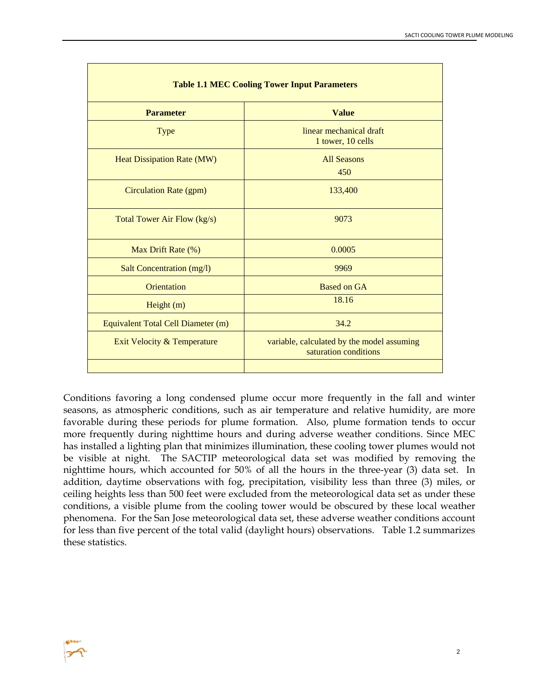| <b>Table 1.1 MEC Cooling Tower Input Parameters</b> |                                                                     |  |  |  |  |
|-----------------------------------------------------|---------------------------------------------------------------------|--|--|--|--|
| <b>Parameter</b>                                    | <b>Value</b>                                                        |  |  |  |  |
| <b>Type</b>                                         | linear mechanical draft<br>1 tower, 10 cells                        |  |  |  |  |
| <b>Heat Dissipation Rate (MW)</b>                   | <b>All Seasons</b><br>450                                           |  |  |  |  |
| <b>Circulation Rate (gpm)</b>                       | 133,400                                                             |  |  |  |  |
| Total Tower Air Flow (kg/s)                         | 9073                                                                |  |  |  |  |
| Max Drift Rate (%)                                  | 0.0005                                                              |  |  |  |  |
| <b>Salt Concentration (mg/l)</b>                    | 9969                                                                |  |  |  |  |
| Orientation                                         | <b>Based on GA</b>                                                  |  |  |  |  |
| Height $(m)$                                        | 18.16                                                               |  |  |  |  |
| Equivalent Total Cell Diameter (m)                  | 34.2                                                                |  |  |  |  |
| Exit Velocity & Temperature                         | variable, calculated by the model assuming<br>saturation conditions |  |  |  |  |
|                                                     |                                                                     |  |  |  |  |

Conditions favoring a long condensed plume occur more frequently in the fall and winter seasons, as atmospheric conditions, such as air temperature and relative humidity, are more favorable during these periods for plume formation. Also, plume formation tends to occur more frequently during nighttime hours and during adverse weather conditions. Since MEC has installed a lighting plan that minimizes illumination, these cooling tower plumes would not be visible at night. The SACTIP meteorological data set was modified by removing the nighttime hours, which accounted for 50% of all the hours in the three-year (3) data set. In addition, daytime observations with fog, precipitation, visibility less than three (3) miles, or ceiling heights less than 500 feet were excluded from the meteorological data set as under these conditions, a visible plume from the cooling tower would be obscured by these local weather phenomena. For the San Jose meteorological data set, these adverse weather conditions account for less than five percent of the total valid (daylight hours) observations. Table 1.2 summarizes these statistics.

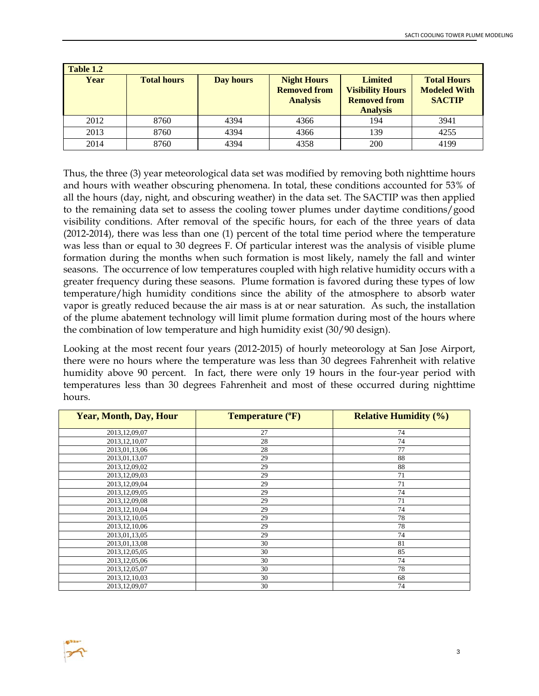| Table 1.2 |                    |           |                                                                                                                                                     |     |                                                            |
|-----------|--------------------|-----------|-----------------------------------------------------------------------------------------------------------------------------------------------------|-----|------------------------------------------------------------|
| Year      | <b>Total hours</b> | Day hours | <b>Limited</b><br><b>Night Hours</b><br><b>Removed from</b><br><b>Visibility Hours</b><br><b>Removed from</b><br><b>Analysis</b><br><b>Analysis</b> |     | <b>Total Hours</b><br><b>Modeled With</b><br><b>SACTIP</b> |
| 2012      | 8760               | 4394      | 4366                                                                                                                                                | 194 | 3941                                                       |
| 2013      | 8760               | 4394      | 4366                                                                                                                                                | 139 | 4255                                                       |
| 2014      | 8760               | 4394      | 4358                                                                                                                                                | 200 | 4199                                                       |

Thus, the three (3) year meteorological data set was modified by removing both nighttime hours and hours with weather obscuring phenomena. In total, these conditions accounted for 53% of all the hours (day, night, and obscuring weather) in the data set. The SACTIP was then applied to the remaining data set to assess the cooling tower plumes under daytime conditions/good visibility conditions. After removal of the specific hours, for each of the three years of data (2012-2014), there was less than one (1) percent of the total time period where the temperature was less than or equal to 30 degrees F. Of particular interest was the analysis of visible plume formation during the months when such formation is most likely, namely the fall and winter seasons. The occurrence of low temperatures coupled with high relative humidity occurs with a greater frequency during these seasons. Plume formation is favored during these types of low temperature/high humidity conditions since the ability of the atmosphere to absorb water vapor is greatly reduced because the air mass is at or near saturation. As such, the installation of the plume abatement technology will limit plume formation during most of the hours where the combination of low temperature and high humidity exist (30/90 design).

Looking at the most recent four years (2012-2015) of hourly meteorology at San Jose Airport, there were no hours where the temperature was less than 30 degrees Fahrenheit with relative humidity above 90 percent. In fact, there were only 19 hours in the four-year period with temperatures less than 30 degrees Fahrenheit and most of these occurred during nighttime hours.

| <b>Year, Month, Day, Hour</b> | Temperature (°F) | <b>Relative Humidity (%)</b> |
|-------------------------------|------------------|------------------------------|
| 2013, 12, 09, 07              | 27               | 74                           |
| 2013, 12, 10, 07              | 28               | 74                           |
| 2013, 01, 13, 06              | 28               | 77                           |
| 2013, 01, 13, 07              | 29               | 88                           |
| 2013, 12, 09, 02              | 29               | 88                           |
| 2013, 12, 09, 03              | 29               | 71                           |
| 2013, 12, 09, 04              | 29               | 71                           |
| 2013, 12, 09, 05              | 29               | 74                           |
| 2013, 12, 09, 08              | 29               | 71                           |
| 2013, 12, 10, 04              | 29               | 74                           |
| 2013, 12, 10, 05              | 29               | 78                           |
| 2013, 12, 10, 06              | 29               | 78                           |
| 2013,01,13,05                 | 29               | 74                           |
| 2013,01,13,08                 | 30               | 81                           |
| 2013, 12, 05, 05              | 30               | 85                           |
| 2013, 12, 05, 06              | 30               | 74                           |
| 2013, 12, 05, 07              | 30               | 78                           |
| 2013, 12, 10, 03              | 30               | 68                           |
| 2013, 12, 09, 07              | 30               | 74                           |

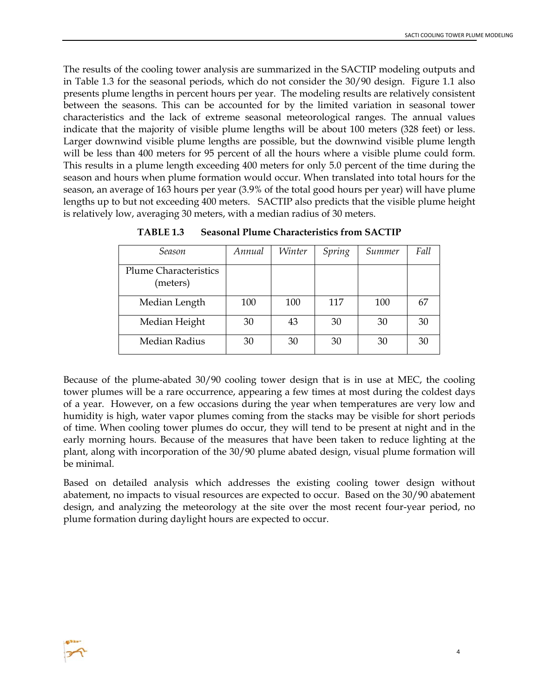The results of the cooling tower analysis are summarized in the SACTIP modeling outputs and in Table 1.3 for the seasonal periods, which do not consider the 30/90 design. Figure 1.1 also presents plume lengths in percent hours per year. The modeling results are relatively consistent between the seasons. This can be accounted for by the limited variation in seasonal tower characteristics and the lack of extreme seasonal meteorological ranges. The annual values indicate that the majority of visible plume lengths will be about 100 meters (328 feet) or less. Larger downwind visible plume lengths are possible, but the downwind visible plume length will be less than 400 meters for 95 percent of all the hours where a visible plume could form. This results in a plume length exceeding 400 meters for only 5.0 percent of the time during the season and hours when plume formation would occur. When translated into total hours for the season, an average of 163 hours per year (3.9% of the total good hours per year) will have plume lengths up to but not exceeding 400 meters. SACTIP also predicts that the visible plume height is relatively low, averaging 30 meters, with a median radius of 30 meters.

| Season                                   | Annual | Winter | Spring | Summer | Fall |
|------------------------------------------|--------|--------|--------|--------|------|
| <b>Plume Characteristics</b><br>(meters) |        |        |        |        |      |
| Median Length                            | 100    | 100    | 117    | 100    | 67   |
| Median Height                            | 30     | 43     | 30     | 30     | 30   |
| Median Radius                            | 30     | 30     | 30     | 30     | 30   |

**TABLE 1.3 Seasonal Plume Characteristics from SACTIP** 

Because of the plume-abated 30/90 cooling tower design that is in use at MEC, the cooling tower plumes will be a rare occurrence, appearing a few times at most during the coldest days of a year. However, on a few occasions during the year when temperatures are very low and humidity is high, water vapor plumes coming from the stacks may be visible for short periods of time. When cooling tower plumes do occur, they will tend to be present at night and in the early morning hours. Because of the measures that have been taken to reduce lighting at the plant, along with incorporation of the 30/90 plume abated design, visual plume formation will be minimal.

Based on detailed analysis which addresses the existing cooling tower design without abatement, no impacts to visual resources are expected to occur. Based on the 30/90 abatement design, and analyzing the meteorology at the site over the most recent four-year period, no plume formation during daylight hours are expected to occur.